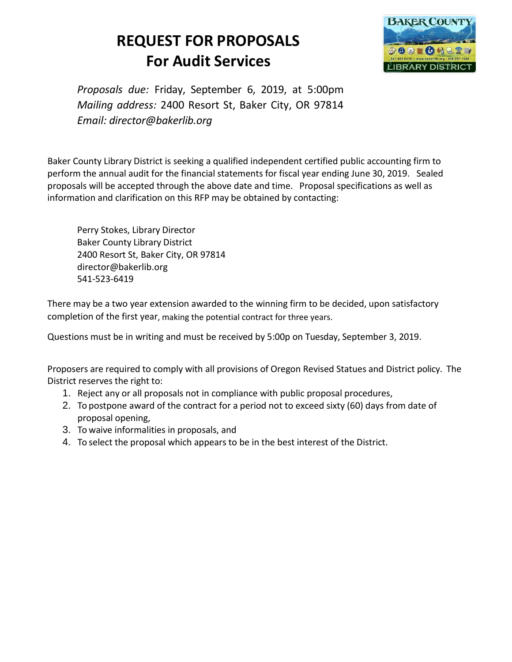# **REQUEST FOR PROPOSALS For Audit Services**



*Proposals due:* Friday, September 6, 2019, at 5:00pm *Mailing address:* 2400 Resort St, Baker City, OR 97814 *Email: [director@bakerlib.org](mailto:rachael@hoodriverlibrary.org)*

Baker County Library District is seeking a qualified independent certified public accounting firm to perform the annual audit for the financial statements for fiscal year ending June 30, 2019. Sealed proposals will be accepted through the above date and time. Proposal specifications as well as information and clarification on this RFP may be obtained by contacting:

Perry Stokes, Library Director Baker County Library District 2400 Resort St, Baker City, OR 97814 director@bakerlib.org 541-523-6419

There may be a two year extension awarded to the winning firm to be decided, upon satisfactory completion of the first year, making the potential contract for three years.

Questions must be in writing and must be received by 5:00p on Tuesday, September 3, 2019.

Proposers are required to comply with all provisions of Oregon Revised Statues and District policy. The District reserves the right to:

- 1. Reject any or all proposals not in compliance with public proposal procedures,
- 2. To postpone award of the contract for a period not to exceed sixty (60) days from date of proposal opening,
- 3. To waive informalities in proposals, and
- 4. To select the proposal which appears to be in the best interest of the District.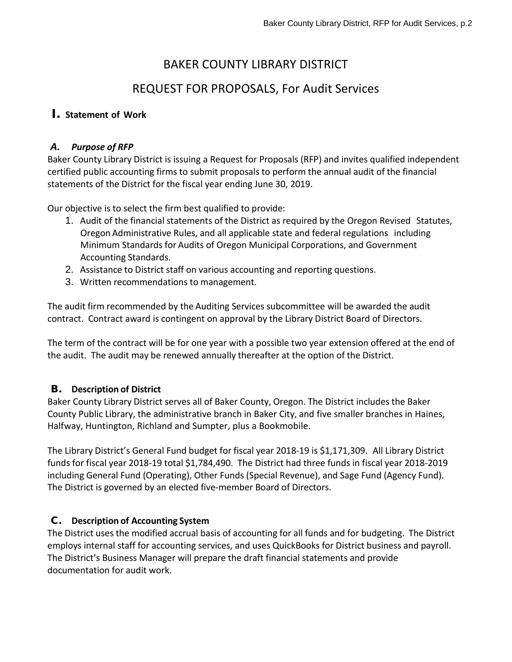# BAKER COUNTY LIBRARY DISTRICT

# REQUEST FOR PROPOSALS, For Audit Services

# I. **Statement of Work**

#### *A. Purpose of RFP*

Baker County Library District is issuing a Request for Proposals (RFP) and invites qualified independent certified public accounting firms to submit proposals to perform the annual audit of the financial statements of the District for the fiscal year ending June 30, 2019.

Our objective is to select the firm best qualified to provide:

- 1. Audit of the financial statements of the District as required by the Oregon Revised Statutes, Oregon Administrative Rules, and all applicable state and federal regulations including Minimum Standards for Audits of Oregon Municipal Corporations, and Government Accounting Standards.
- 2. Assistance to District staff on various accounting and reporting questions.
- 3. Written recommendations to management.

The audit firm recommended by the Auditing Services subcommittee will be awarded the audit contract. Contract award is contingent on approval by the Library District Board of Directors.

The term of the contract will be for one year with a possible two year extension offered at the end of the audit. The audit may be renewed annually thereafter at the option of the District.

# B. **Description of District**

Baker County Library District serves all of Baker County, Oregon. The District includes the Baker County Public Library, the administrative branch in Baker City, and five smaller branches in Haines, Halfway, Huntington, Richland and Sumpter, plus a Bookmobile.

The Library District's General Fund budget for fiscal year 2018-19 is \$1,171,309. All Library District funds for fiscal year 2018-19 total \$1,784,490. The District had three funds in fiscal year 2018-2019 including General Fund (Operating), Other Funds (Special Revenue), and Sage Fund (Agency Fund). The District is governed by an elected five-member Board of Directors.

# C. **Description of Accounting System**

The District uses the modified accrual basis of accounting for all funds and for budgeting. The District employs internal staff for accounting services, and uses QuickBooks for District business and payroll. The District's Business Manager will prepare the draft financial statements and provide documentation for audit work.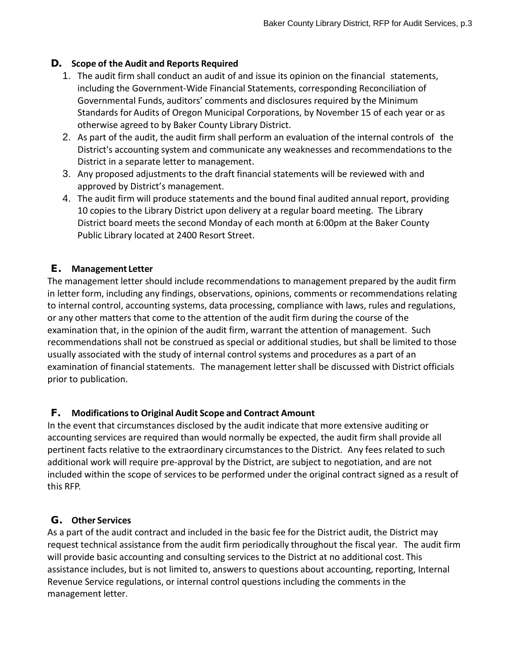### D. **Scope of the Audit and Reports Required**

- 1. The audit firm shall conduct an audit of and issue its opinion on the financial statements, including the Government-Wide Financial Statements, corresponding Reconciliation of Governmental Funds, auditors' comments and disclosures required by the Minimum Standards for Audits of Oregon Municipal Corporations, by November 15 of each year or as otherwise agreed to by Baker County Library District.
- 2. As part of the audit, the audit firm shall perform an evaluation of the internal controls of the District's accounting system and communicate any weaknesses and recommendations to the District in a separate letter to management.
- 3. Any proposed adjustments to the draft financial statements will be reviewed with and approved by District's management.
- 4. The audit firm will produce statements and the bound final audited annual report, providing 10 copies to the Library District upon delivery at a regular board meeting. The Library District board meets the second Monday of each month at 6:00pm at the Baker County Public Library located at 2400 Resort Street.

### E. **Management Letter**

The management letter should include recommendations to management prepared by the audit firm in letter form, including any findings, observations, opinions, comments or recommendations relating to internal control, accounting systems, data processing, compliance with laws, rules and regulations, or any other matters that come to the attention of the audit firm during the course of the examination that, in the opinion of the audit firm, warrant the attention of management. Such recommendations shall not be construed as special or additional studies, but shall be limited to those usually associated with the study of internal control systems and procedures as a part of an examination of financial statements. The management letter shall be discussed with District officials prior to publication.

#### F. **Modificationsto Original Audit Scope and Contract Amount**

In the event that circumstances disclosed by the audit indicate that more extensive auditing or accounting services are required than would normally be expected, the audit firm shall provide all pertinent facts relative to the extraordinary circumstances to the District. Any fees related to such additional work will require pre-approval by the District, are subject to negotiation, and are not included within the scope of services to be performed under the original contract signed as a result of this RFP.

#### G. **Other Services**

As a part of the audit contract and included in the basic fee for the District audit, the District may request technical assistance from the audit firm periodically throughout the fiscal year. The audit firm will provide basic accounting and consulting services to the District at no additional cost. This assistance includes, but is not limited to, answers to questions about accounting, reporting, Internal Revenue Service regulations, or internal control questions including the comments in the management letter.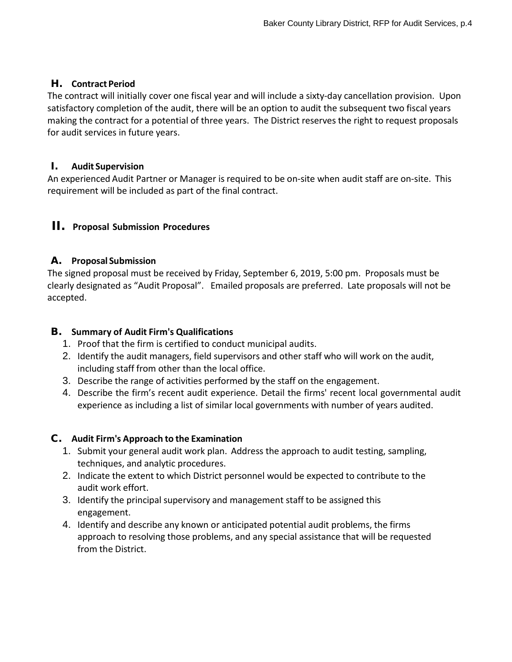### H. **Contract Period**

The contract will initially cover one fiscal year and will include a sixty-day cancellation provision. Upon satisfactory completion of the audit, there will be an option to audit the subsequent two fiscal years making the contract for a potential of three years. The District reserves the right to request proposals for audit services in future years.

### I. **Audit Supervision**

An experienced Audit Partner or Manager is required to be on-site when audit staff are on-site. This requirement will be included as part of the final contract.

# II. **Proposal Submission Procedures**

# A. **Proposal Submission**

The signed proposal must be received by Friday, September 6, 2019, 5:00 pm. Proposals must be clearly designated as "Audit Proposal". Emailed proposals are preferred. Late proposals will not be accepted.

### B. **Summary of Audit Firm's Qualifications**

- 1. Proof that the firm is certified to conduct municipal audits.
- 2. Identify the audit managers, field supervisors and other staff who will work on the audit, including staff from other than the local office.
- 3. Describe the range of activities performed by the staff on the engagement.
- 4. Describe the firm's recent audit experience. Detail the firms' recent local governmental audit experience as including a list of similar local governments with number of years audited.

#### C. **Audit Firm's Approach to the Examination**

- 1. Submit your general audit work plan. Address the approach to audit testing, sampling, techniques, and analytic procedures.
- 2. Indicate the extent to which District personnel would be expected to contribute to the audit work effort.
- 3. Identify the principal supervisory and management staff to be assigned this engagement.
- 4. Identify and describe any known or anticipated potential audit problems, the firms approach to resolving those problems, and any special assistance that will be requested from the District.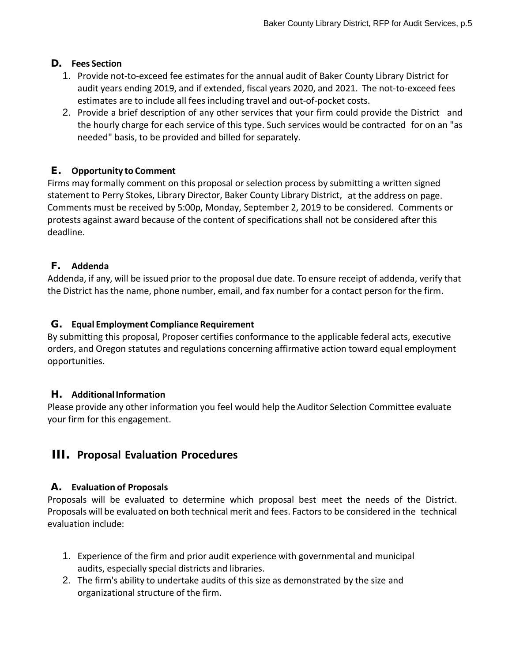### D. **Fees Section**

- 1. Provide not-to-exceed fee estimates for the annual audit of Baker County Library District for audit years ending 2019, and if extended, fiscal years 2020, and 2021. The not-to-exceed fees estimates are to include all fees including travel and out-of-pocket costs.
- 2. Provide a brief description of any other services that your firm could provide the District and the hourly charge for each service of this type. Such services would be contracted for on an "as needed" basis, to be provided and billed for separately.

# E. **Opportunity to Comment**

Firms may formally comment on this proposal or selection process by submitting a written signed statement to Perry Stokes, Library Director, Baker County Library District, at the address on page. Comments must be received by 5:00p, Monday, September 2, 2019 to be considered. Comments or protests against award because of the content of specifications shall not be considered after this deadline.

### F. **Addenda**

Addenda, if any, will be issued prior to the proposal due date. To ensure receipt of addenda, verify that the District has the name, phone number, email, and fax number for a contact person for the firm.

### G. **Equal Employment Compliance Requirement**

By submitting this proposal, Proposer certifies conformance to the applicable federal acts, executive orders, and Oregon statutes and regulations concerning affirmative action toward equal employment opportunities.

#### H. **AdditionalInformation**

Please provide any other information you feel would help the Auditor Selection Committee evaluate your firm for this engagement.

# III. **Proposal Evaluation Procedures**

#### A. **Evaluation of Proposals**

Proposals will be evaluated to determine which proposal best meet the needs of the District. Proposals will be evaluated on both technical merit and fees. Factors to be considered in the technical evaluation include:

- 1. Experience of the firm and prior audit experience with governmental and municipal audits, especially special districts and libraries.
- 2. The firm's ability to undertake audits of this size as demonstrated by the size and organizational structure of the firm.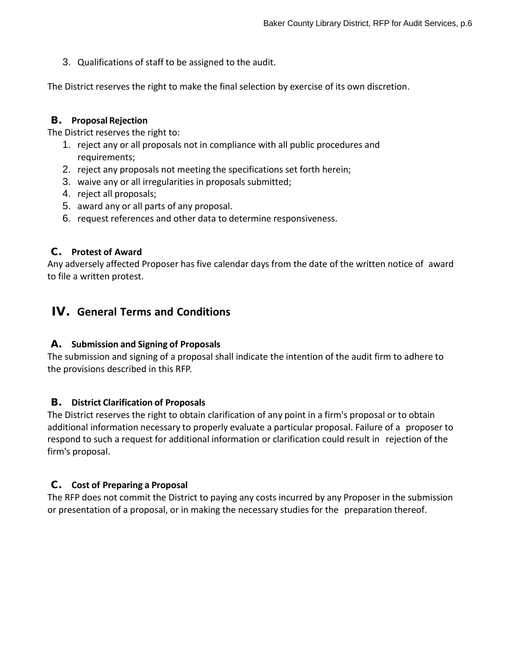3. Qualifications of staff to be assigned to the audit.

The District reserves the right to make the final selection by exercise of its own discretion.

#### B. **Proposal Rejection**

The District reserves the right to:

- 1. reject any or all proposals not in compliance with all public procedures and requirements;
- 2. reject any proposals not meeting the specifications set forth herein;
- 3. waive any or all irregularities in proposals submitted;
- 4. reject all proposals;
- 5. award any or all parts of any proposal.
- 6. request references and other data to determine responsiveness.

#### C. **Protest of Award**

Any adversely affected Proposer has five calendar days from the date of the written notice of award to file a written protest.

# IV. **General Terms and Conditions**

#### A. **Submission and Signing of Proposals**

The submission and signing of a proposal shall indicate the intention of the audit firm to adhere to the provisions described in this RFP.

#### B. **District Clarification of Proposals**

The District reserves the right to obtain clarification of any point in a firm's proposal or to obtain additional information necessary to properly evaluate a particular proposal. Failure of a proposer to respond to such a request for additional information or clarification could result in rejection of the firm's proposal.

#### C. **Cost of Preparing a Proposal**

The RFP does not commit the District to paying any costs incurred by any Proposer in the submission or presentation of a proposal, or in making the necessary studies for the preparation thereof.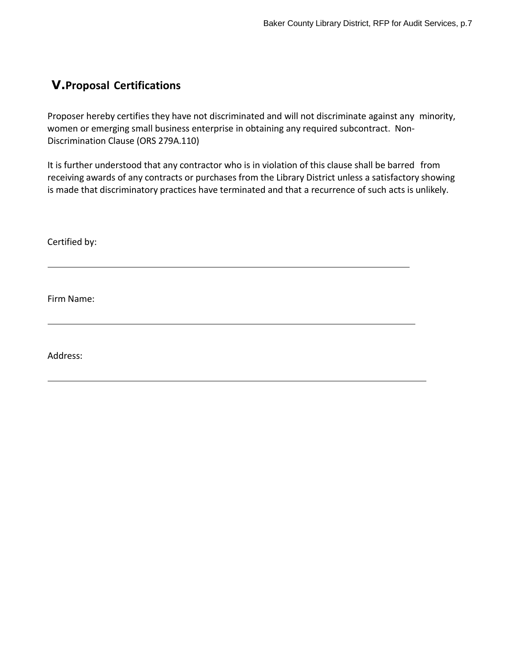# V.**Proposal Certifications**

Proposer hereby certifies they have not discriminated and will not discriminate against any minority, women or emerging small business enterprise in obtaining any required subcontract. Non-Discrimination Clause (ORS 279A.110)

It is further understood that any contractor who is in violation of this clause shall be barred from receiving awards of any contracts or purchases from the Library District unless a satisfactory showing is made that discriminatory practices have terminated and that a recurrence of such acts is unlikely.

Certified by:

Firm Name:

Address: